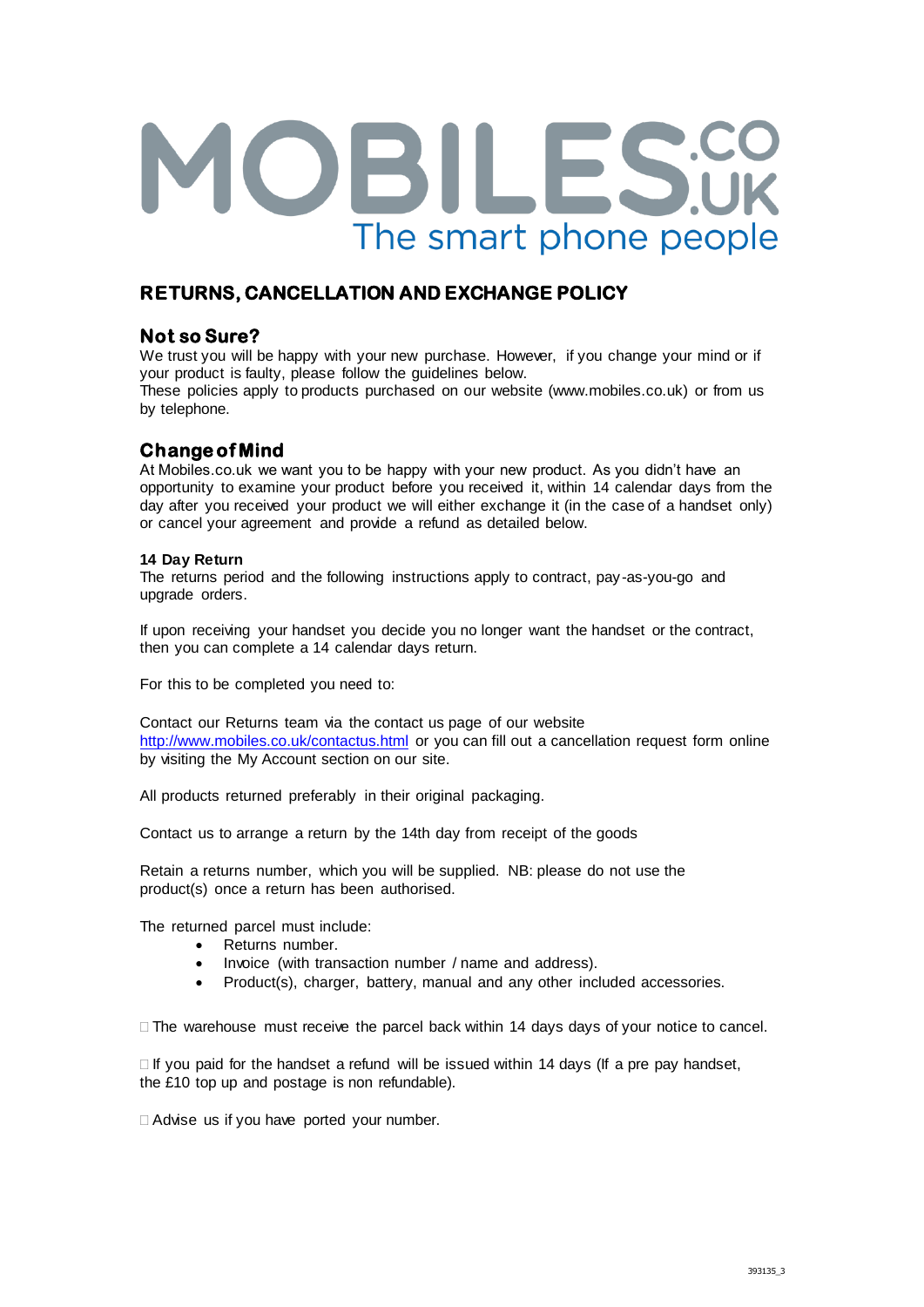# OBILES.CO The smart phone people

# **RETURNS, CANCELLATION AND EXCHANGE POLICY**

## **Not so Sure?**

We trust you will be happy with your new purchase. However, if you change your mind or if your product is faulty, please follow the guidelines below.

These policies apply to products purchased on our website (www.mobiles.co.uk) or from us by telephone.

# **Change of Mind**

At Mobiles.co.uk we want you to be happy with your new product. As you didn't have an opportunity to examine your product before you received it, within 14 calendar days from the day after you received your product we will either exchange it (in the case of a handset only) or cancel your agreement and provide a refund as detailed below.

## **14 Day Return**

The returns period and the following instructions apply to contract, pay-as-you-go and upgrade orders.

If upon receiving your handset you decide you no longer want the handset or the contract, then you can complete a 14 calendar days return.

For this to be completed you need to:

Contact our Returns team via the contact us page of our website <http://www.mobiles.co.uk/contactus.html> or you can fill out a cancellation request form online by visiting the My Account section on our site.

All products returned preferably in their original packaging.

Contact us to arrange a return by the 14th day from receipt of the goods

Retain a returns number, which you will be supplied. NB: please do not use the product(s) once a return has been authorised.

The returned parcel must include:

- Returns number.
- Invoice (with transaction number / name and address).
- Product(s), charger, battery, manual and any other included accessories.

 $\square$  The warehouse must receive the parcel back within 14 days days of your notice to cancel.

 $\Box$  If you paid for the handset a refund will be issued within 14 days (If a pre pay handset, the £10 top up and postage is non refundable).

Advise us if you have ported your number.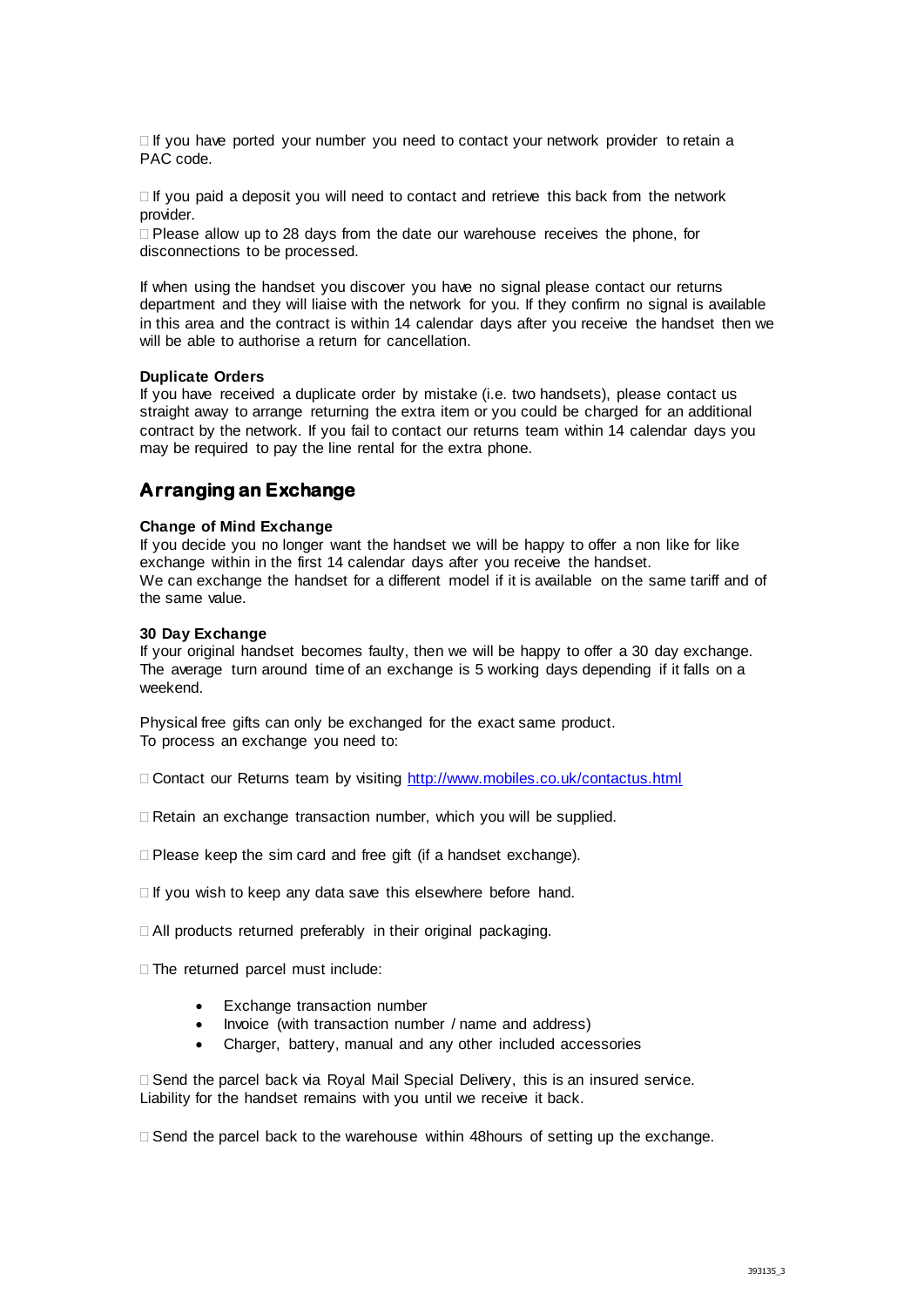$\Box$  If you have ported your number you need to contact your network provider to retain a PAC code.

 $\Box$  If you paid a deposit you will need to contact and retrieve this back from the network provider.

 $\Box$  Please allow up to 28 days from the date our warehouse receives the phone, for disconnections to be processed.

If when using the handset you discover you have no signal please contact our returns department and they will liaise with the network for you. If they confirm no signal is available in this area and the contract is within 14 calendar days after you receive the handset then we will be able to authorise a return for cancellation.

#### **Duplicate Orders**

If you have received a duplicate order by mistake (i.e. two handsets), please contact us straight away to arrange returning the extra item or you could be charged for an additional contract by the network. If you fail to contact our returns team within 14 calendar days you may be required to pay the line rental for the extra phone.

## **Arranging an Exchange**

#### **Change of Mind Exchange**

If you decide you no longer want the handset we will be happy to offer a non like for like exchange within in the first 14 calendar days after you receive the handset. We can exchange the handset for a different model if it is available on the same tariff and of the same value.

#### **30 Day Exchange**

If your original handset becomes faulty, then we will be happy to offer a 30 day exchange. The average turn around time of an exchange is 5 working days depending if it falls on a weekend.

Physical free gifts can only be exchanged for the exact same product. To process an exchange you need to:

Contact our Returns team by visiting<http://www.mobiles.co.uk/contactus.html>

Retain an exchange transaction number, which you will be supplied.

D Please keep the sim card and free gift (if a handset exchange).

 $\Box$  If you wish to keep any data save this elsewhere before hand.

□ All products returned preferably in their original packaging.

 $\Box$  The returned parcel must include:

- Exchange transaction number
- Invoice (with transaction number / name and address)
- Charger, battery, manual and any other included accessories

 $\Box$  Send the parcel back via Royal Mail Special Delivery, this is an insured service. Liability for the handset remains with you until we receive it back.

 $\Box$  Send the parcel back to the warehouse within 48 hours of setting up the exchange.